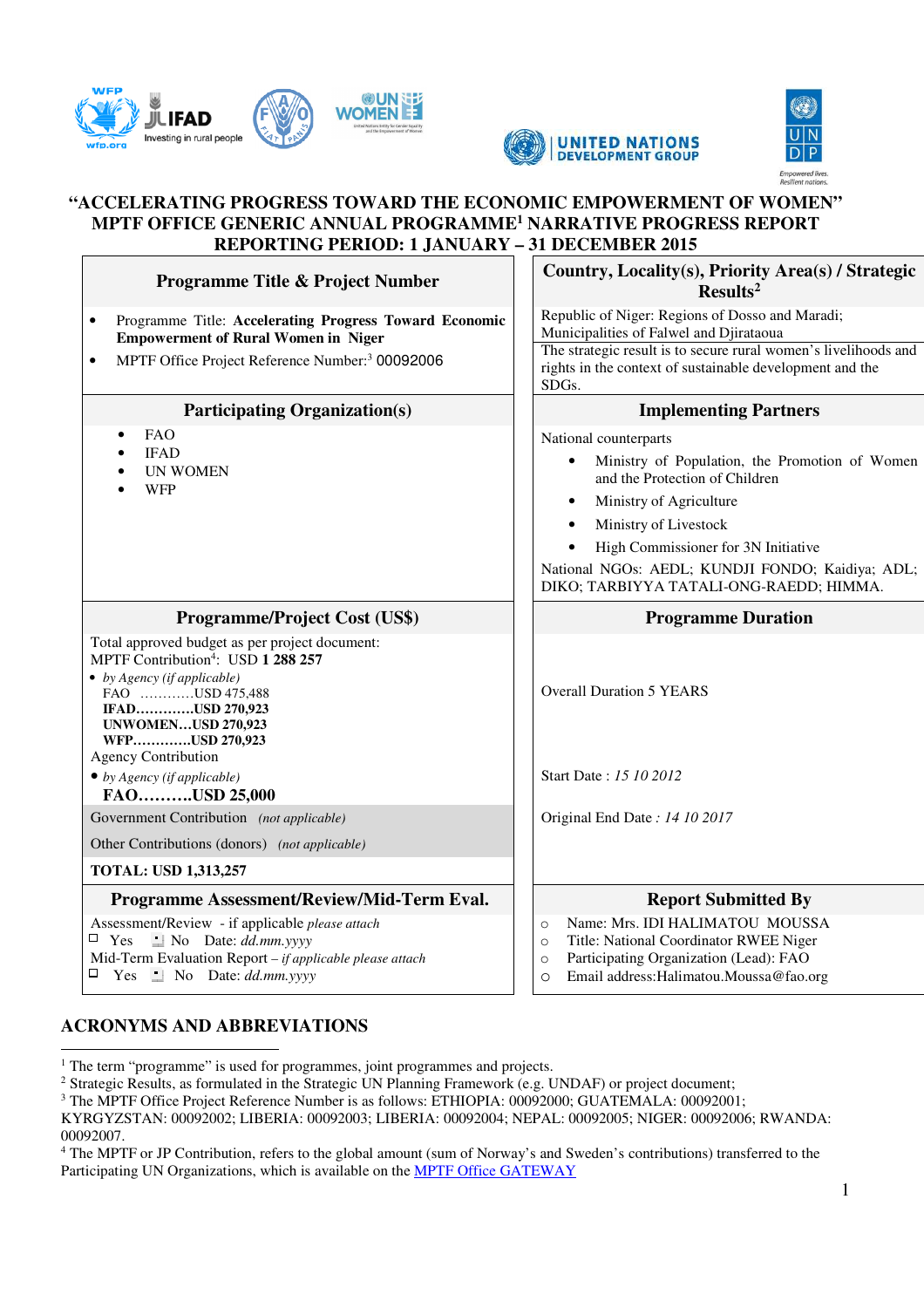





#### **"ACCELERATING PROGRESS TOWARD THE ECONOMIC EMPOWERMENT OF WOMEN" MPTF OFFICE GENERIC ANNUAL PROGRAMME<sup>1</sup> NARRATIVE PROGRESS REPORT REPORTING PERIOD: 1 JANUARY – 31 DECEMBER 2015**

| Programme Title & Project Number                                                                                                                                                                                                                                                          | Country, Locality(s), Priority Area(s) / Strategic<br>Results <sup>2</sup>                                                                                                                                                                                                                                                    |
|-------------------------------------------------------------------------------------------------------------------------------------------------------------------------------------------------------------------------------------------------------------------------------------------|-------------------------------------------------------------------------------------------------------------------------------------------------------------------------------------------------------------------------------------------------------------------------------------------------------------------------------|
| Programme Title: Accelerating Progress Toward Economic<br>$\bullet$<br><b>Empowerment of Rural Women in Niger</b><br>MPTF Office Project Reference Number: <sup>3</sup> 00092006<br>$\bullet$                                                                                             | Republic of Niger: Regions of Dosso and Maradi;<br>Municipalities of Falwel and Djirataoua<br>The strategic result is to secure rural women's livelihoods and<br>rights in the context of sustainable development and the                                                                                                     |
| <b>Participating Organization(s)</b>                                                                                                                                                                                                                                                      | SDGs.<br><b>Implementing Partners</b>                                                                                                                                                                                                                                                                                         |
| <b>FAO</b><br><b>IFAD</b><br><b>UN WOMEN</b><br><b>WFP</b>                                                                                                                                                                                                                                | National counterparts<br>Ministry of Population, the Promotion of Women<br>and the Protection of Children<br>Ministry of Agriculture<br>$\bullet$<br>Ministry of Livestock<br>$\bullet$<br>High Commissioner for 3N Initiative<br>National NGOs: AEDL; KUNDJI FONDO; Kaidiya; ADL;<br>DIKO; TARBIYYA TATALI-ONG-RAEDD; HIMMA. |
| Programme/Project Cost (US\$)                                                                                                                                                                                                                                                             | <b>Programme Duration</b>                                                                                                                                                                                                                                                                                                     |
| Total approved budget as per project document:<br>MPTF Contribution <sup>4</sup> : USD 1 288 257<br>• by Agency (if applicable)<br>FAO USD 475,488<br>IFADUSD 270,923<br><b>UNWOMENUSD 270,923</b><br>WFPUSD 270,923<br><b>Agency Contribution</b><br>$\bullet$ by Agency (if applicable) | <b>Overall Duration 5 YEARS</b><br>Start Date: 15 10 2012                                                                                                                                                                                                                                                                     |
| FAOUSD 25,000                                                                                                                                                                                                                                                                             |                                                                                                                                                                                                                                                                                                                               |
| Government Contribution (not applicable)                                                                                                                                                                                                                                                  | Original End Date: 14 10 2017                                                                                                                                                                                                                                                                                                 |
| Other Contributions (donors) (not applicable)<br><b>TOTAL: USD 1,313,257</b>                                                                                                                                                                                                              |                                                                                                                                                                                                                                                                                                                               |
|                                                                                                                                                                                                                                                                                           |                                                                                                                                                                                                                                                                                                                               |
| Programme Assessment/Review/Mid-Term Eval.<br>Assessment/Review - if applicable please attach<br>$\therefore$ No Date: <i>dd.mm.yyyy</i><br>$\Box$ Yes<br>Mid-Term Evaluation Report - if applicable please attach<br>$\Box$ Yes $\Box$ No Date: <i>dd.mm.yyyy</i>                        | <b>Report Submitted By</b><br>Name: Mrs. IDI HALIMATOU MOUSSA<br>$\circ$<br>Title: National Coordinator RWEE Niger<br>$\circ$<br>Participating Organization (Lead): FAO<br>$\circ$<br>Email address: Halimatou. Moussa@fao.org<br>$\circ$                                                                                     |

# **ACRONYMS AND ABBREVIATIONS**

The term "programme" is used for programmes, joint programmes and projects.

<sup>2</sup> Strategic Results, as formulated in the Strategic UN Planning Framework (e.g. UNDAF) or project document;

KYRGYZSTAN: 00092002; LIBERIA: 00092003; LIBERIA: 00092004; NEPAL: 00092005; NIGER: 00092006; RWANDA: 00092007.

4 The MPTF or JP Contribution, refers to the global amount (sum of Norway's and Sweden's contributions) transferred to the Participating UN Organizations, which is available on the MPTF Office GATEWAY

<sup>&</sup>lt;sup>3</sup> The MPTF Office Project Reference Number is as follows: ETHIOPIA: 00092000; GUATEMALA: 00092001;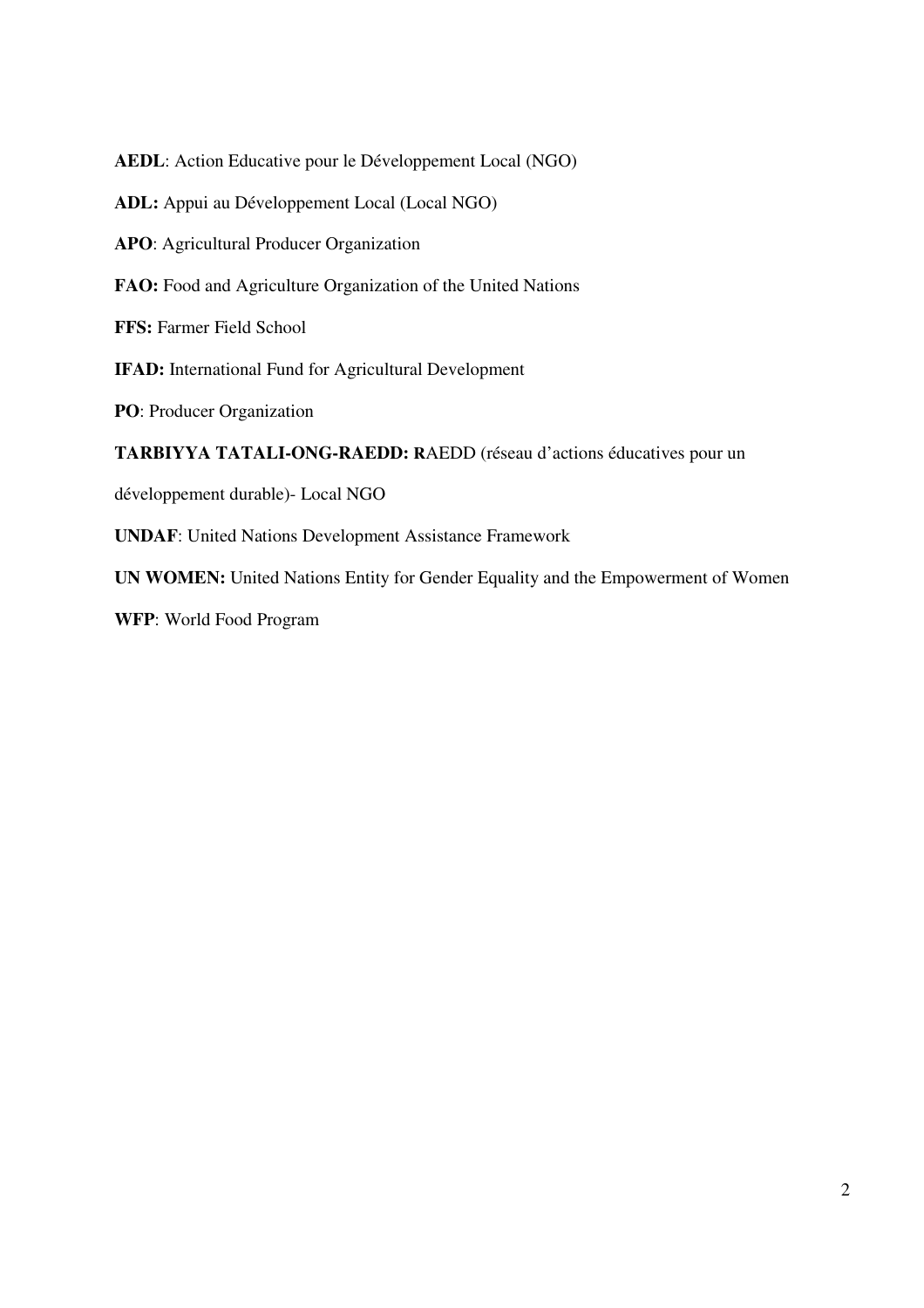**AEDL**: Action Educative pour le Développement Local (NGO) **ADL:** Appui au Développement Local (Local NGO) **APO**: Agricultural Producer Organization FAO: Food and Agriculture Organization of the United Nations **FFS:** Farmer Field School **IFAD:** International Fund for Agricultural Development **PO**: Producer Organization **TARBIYYA TATALI-ONG-RAEDD: R**AEDD (réseau d'actions éducatives pour un développement durable)- Local NGO **UNDAF**: United Nations Development Assistance Framework **UN WOMEN:** United Nations Entity for Gender Equality and the Empowerment of Women

**WFP**: World Food Program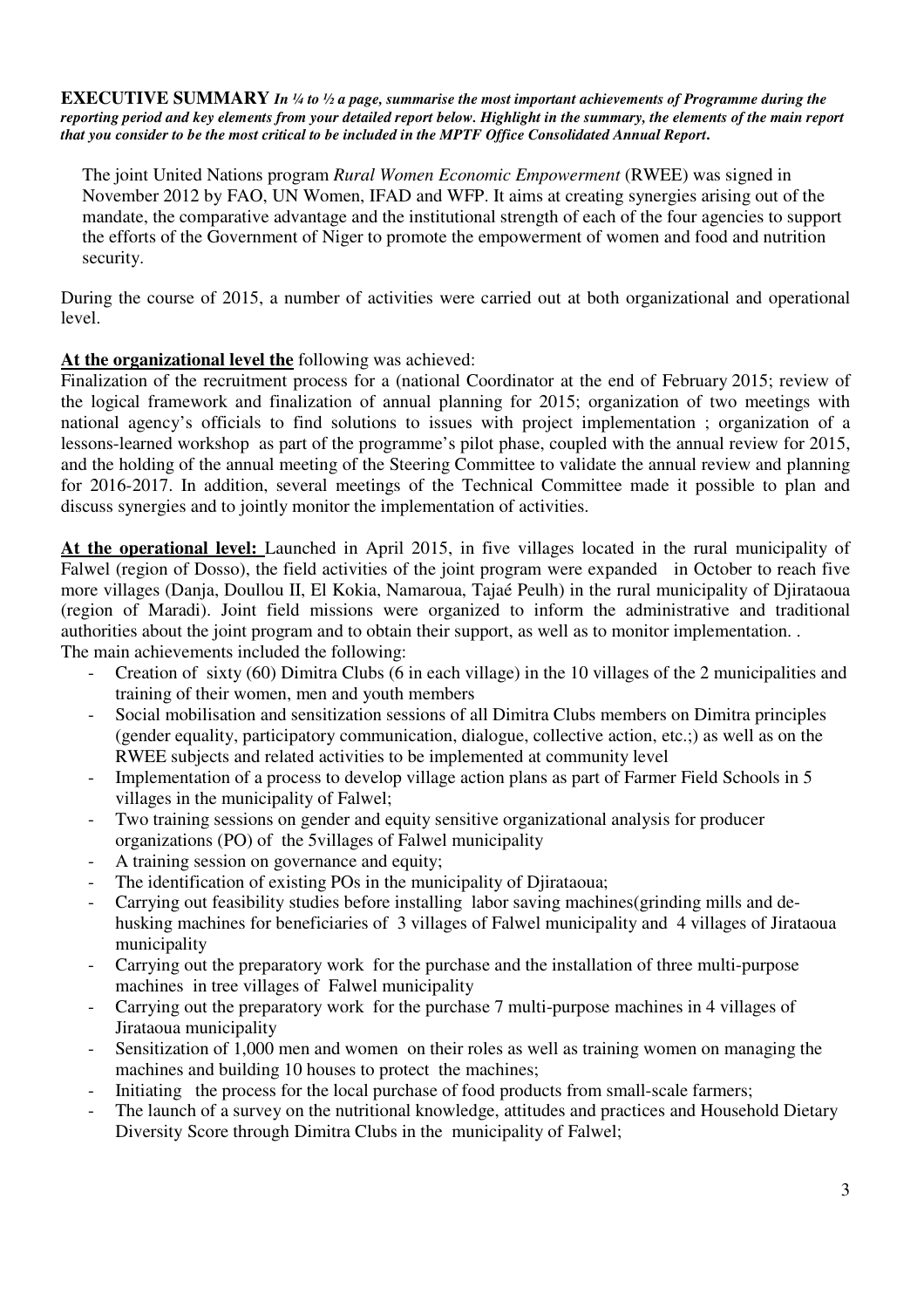#### **EXECUTIVE SUMMARY** *In ¼ to ½ a page, summarise the most important achievements of Programme during the reporting period and key elements from your detailed report below. Highlight in the summary, the elements of the main report that you consider to be the most critical to be included in the MPTF Office Consolidated Annual Report***.**

The joint United Nations program *Rural Women Economic Empowerment* (RWEE) was signed in November 2012 by FAO, UN Women, IFAD and WFP. It aims at creating synergies arising out of the mandate, the comparative advantage and the institutional strength of each of the four agencies to support the efforts of the Government of Niger to promote the empowerment of women and food and nutrition security.

During the course of 2015, a number of activities were carried out at both organizational and operational level.

# **At the organizational level the** following was achieved:

Finalization of the recruitment process for a (national Coordinator at the end of February 2015; review of the logical framework and finalization of annual planning for 2015; organization of two meetings with national agency's officials to find solutions to issues with project implementation ; organization of a lessons-learned workshop as part of the programme's pilot phase, coupled with the annual review for 2015, and the holding of the annual meeting of the Steering Committee to validate the annual review and planning for 2016-2017. In addition, several meetings of the Technical Committee made it possible to plan and discuss synergies and to jointly monitor the implementation of activities.

**At the operational level:** Launched in April 2015, in five villages located in the rural municipality of Falwel (region of Dosso), the field activities of the joint program were expanded in October to reach five more villages (Danja, Doullou II, El Kokia, Namaroua, Tajaé Peulh) in the rural municipality of Djirataoua (region of Maradi). Joint field missions were organized to inform the administrative and traditional authorities about the joint program and to obtain their support, as well as to monitor implementation. . The main achievements included the following:

- Creation of sixty (60) Dimitra Clubs (6 in each village) in the 10 villages of the 2 municipalities and training of their women, men and youth members
- Social mobilisation and sensitization sessions of all Dimitra Clubs members on Dimitra principles (gender equality, participatory communication, dialogue, collective action, etc.;) as well as on the RWEE subjects and related activities to be implemented at community level
- Implementation of a process to develop village action plans as part of Farmer Field Schools in 5 villages in the municipality of Falwel;
- Two training sessions on gender and equity sensitive organizational analysis for producer organizations (PO) of the 5villages of Falwel municipality
- A training session on governance and equity;
- The identification of existing POs in the municipality of Djirataoua;
- Carrying out feasibility studies before installing labor saving machines(grinding mills and dehusking machines for beneficiaries of 3 villages of Falwel municipality and 4 villages of Jirataoua municipality
- Carrying out the preparatory work for the purchase and the installation of three multi-purpose machines in tree villages of Falwel municipality
- Carrying out the preparatory work for the purchase 7 multi-purpose machines in 4 villages of Jirataoua municipality
- Sensitization of 1,000 men and women on their roles as well as training women on managing the machines and building 10 houses to protect the machines;
- Initiating the process for the local purchase of food products from small-scale farmers;
- The launch of a survey on the nutritional knowledge, attitudes and practices and Household Dietary Diversity Score through Dimitra Clubs in the municipality of Falwel;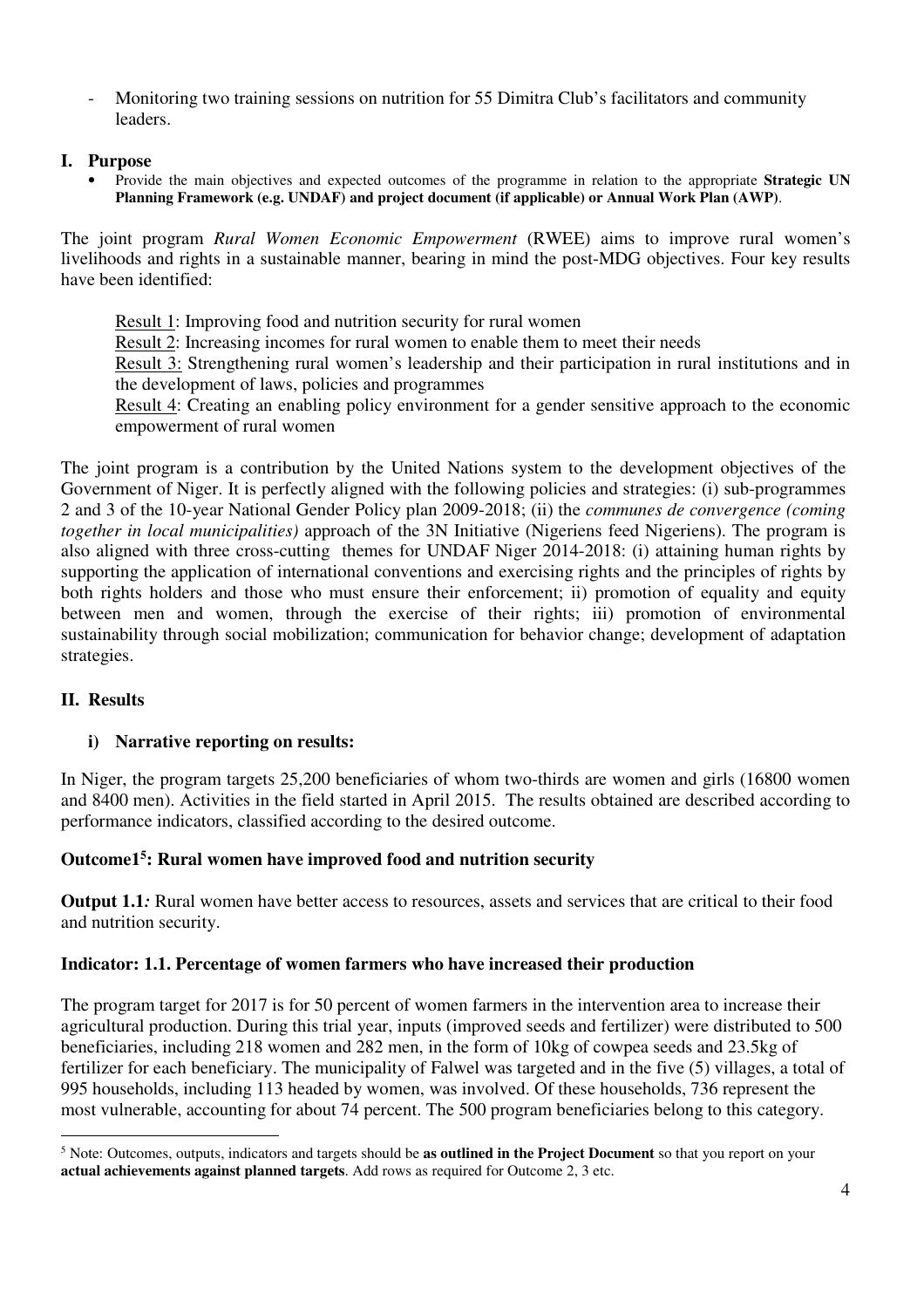- Monitoring two training sessions on nutrition for 55 Dimitra Club's facilitators and community leaders.

#### **I. Purpose**

• Provide the main objectives and expected outcomes of the programme in relation to the appropriate **Strategic UN Planning Framework (e.g. UNDAF) and project document (if applicable) or Annual Work Plan (AWP)**.

The joint program *Rural Women Economic Empowerment* (RWEE) aims to improve rural women's livelihoods and rights in a sustainable manner, bearing in mind the post-MDG objectives. Four key results have been identified:

Result 1: Improving food and nutrition security for rural women Result 2: Increasing incomes for rural women to enable them to meet their needs Result 3: Strengthening rural women's leadership and their participation in rural institutions and in the development of laws, policies and programmes Result 4: Creating an enabling policy environment for a gender sensitive approach to the economic empowerment of rural women

The joint program is a contribution by the United Nations system to the development objectives of the Government of Niger. It is perfectly aligned with the following policies and strategies: (i) sub-programmes 2 and 3 of the 10-year National Gender Policy plan 2009-2018; (ii) the *communes de convergence (coming together in local municipalities)* approach of the 3N Initiative (Nigeriens feed Nigeriens). The program is also aligned with three cross-cutting themes for UNDAF Niger 2014-2018: (i) attaining human rights by supporting the application of international conventions and exercising rights and the principles of rights by both rights holders and those who must ensure their enforcement; ii) promotion of equality and equity between men and women, through the exercise of their rights; iii) promotion of environmental sustainability through social mobilization; communication for behavior change; development of adaptation strategies.

# **II. Results**

-

# **i) Narrative reporting on results:**

In Niger, the program targets 25,200 beneficiaries of whom two-thirds are women and girls (16800 women and 8400 men). Activities in the field started in April 2015. The results obtained are described according to performance indicators, classified according to the desired outcome.

# **Outcome1<sup>5</sup> : Rural women have improved food and nutrition security**

**Output 1.1***:* Rural women have better access to resources, assets and services that are critical to their food and nutrition security.

# **Indicator: 1.1. Percentage of women farmers who have increased their production**

The program target for 2017 is for 50 percent of women farmers in the intervention area to increase their agricultural production. During this trial year, inputs (improved seeds and fertilizer) were distributed to 500 beneficiaries, including 218 women and 282 men, in the form of 10kg of cowpea seeds and 23.5kg of fertilizer for each beneficiary. The municipality of Falwel was targeted and in the five (5) villages, a total of 995 households, including 113 headed by women, was involved. Of these households, 736 represent the most vulnerable, accounting for about 74 percent. The 500 program beneficiaries belong to this category.

<sup>5</sup> Note: Outcomes, outputs, indicators and targets should be **as outlined in the Project Document** so that you report on your **actual achievements against planned targets**. Add rows as required for Outcome 2, 3 etc.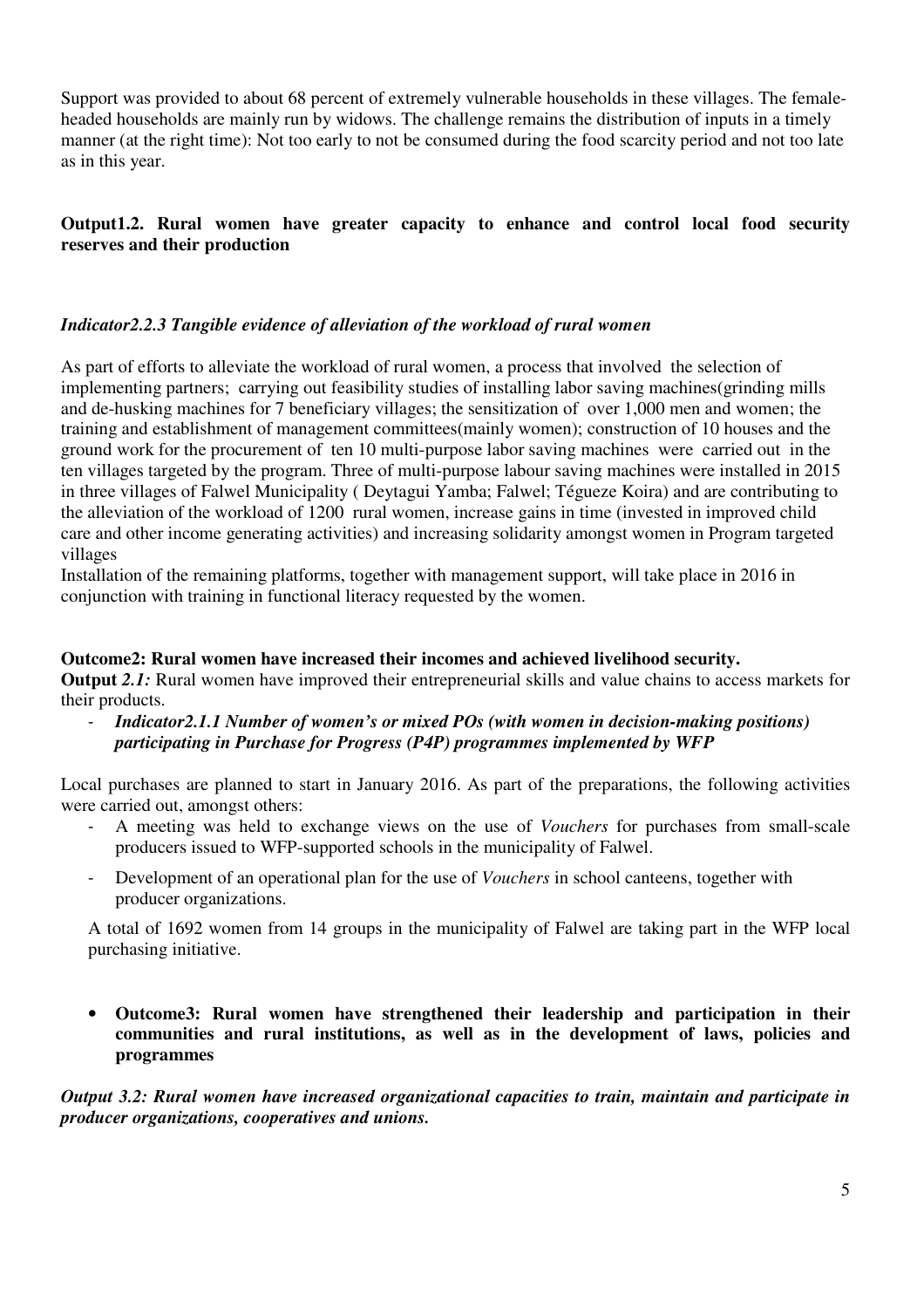Support was provided to about 68 percent of extremely vulnerable households in these villages. The femaleheaded households are mainly run by widows. The challenge remains the distribution of inputs in a timely manner (at the right time): Not too early to not be consumed during the food scarcity period and not too late as in this year.

# **Output1.2. Rural women have greater capacity to enhance and control local food security reserves and their production**

#### *Indicator2.2.3 Tangible evidence of alleviation of the workload of rural women*

As part of efforts to alleviate the workload of rural women, a process that involved the selection of implementing partners; carrying out feasibility studies of installing labor saving machines(grinding mills and de-husking machines for 7 beneficiary villages; the sensitization of over 1,000 men and women; the training and establishment of management committees(mainly women); construction of 10 houses and the ground work for the procurement of ten 10 multi-purpose labor saving machines were carried out in the ten villages targeted by the program. Three of multi-purpose labour saving machines were installed in 2015 in three villages of Falwel Municipality ( Deytagui Yamba; Falwel; Tégueze Koira) and are contributing to the alleviation of the workload of 1200 rural women, increase gains in time (invested in improved child care and other income generating activities) and increasing solidarity amongst women in Program targeted villages

Installation of the remaining platforms, together with management support, will take place in 2016 in conjunction with training in functional literacy requested by the women.

#### **Outcome2: Rural women have increased their incomes and achieved livelihood security.**

**Output** 2.1: Rural women have improved their entrepreneurial skills and value chains to access markets for their products.

- *Indicator2.1.1 Number of women's or mixed POs (with women in decision-making positions) participating in Purchase for Progress (P4P) programmes implemented by WFP* 

Local purchases are planned to start in January 2016. As part of the preparations, the following activities were carried out, amongst others:

- A meeting was held to exchange views on the use of *Vouchers* for purchases from small-scale producers issued to WFP-supported schools in the municipality of Falwel.
- Development of an operational plan for the use of *Vouchers* in school canteens, together with producer organizations.

A total of 1692 women from 14 groups in the municipality of Falwel are taking part in the WFP local purchasing initiative.

• **Outcome3: Rural women have strengthened their leadership and participation in their communities and rural institutions, as well as in the development of laws, policies and programmes** 

*Output 3.2: Rural women have increased organizational capacities to train, maintain and participate in producer organizations, cooperatives and unions.*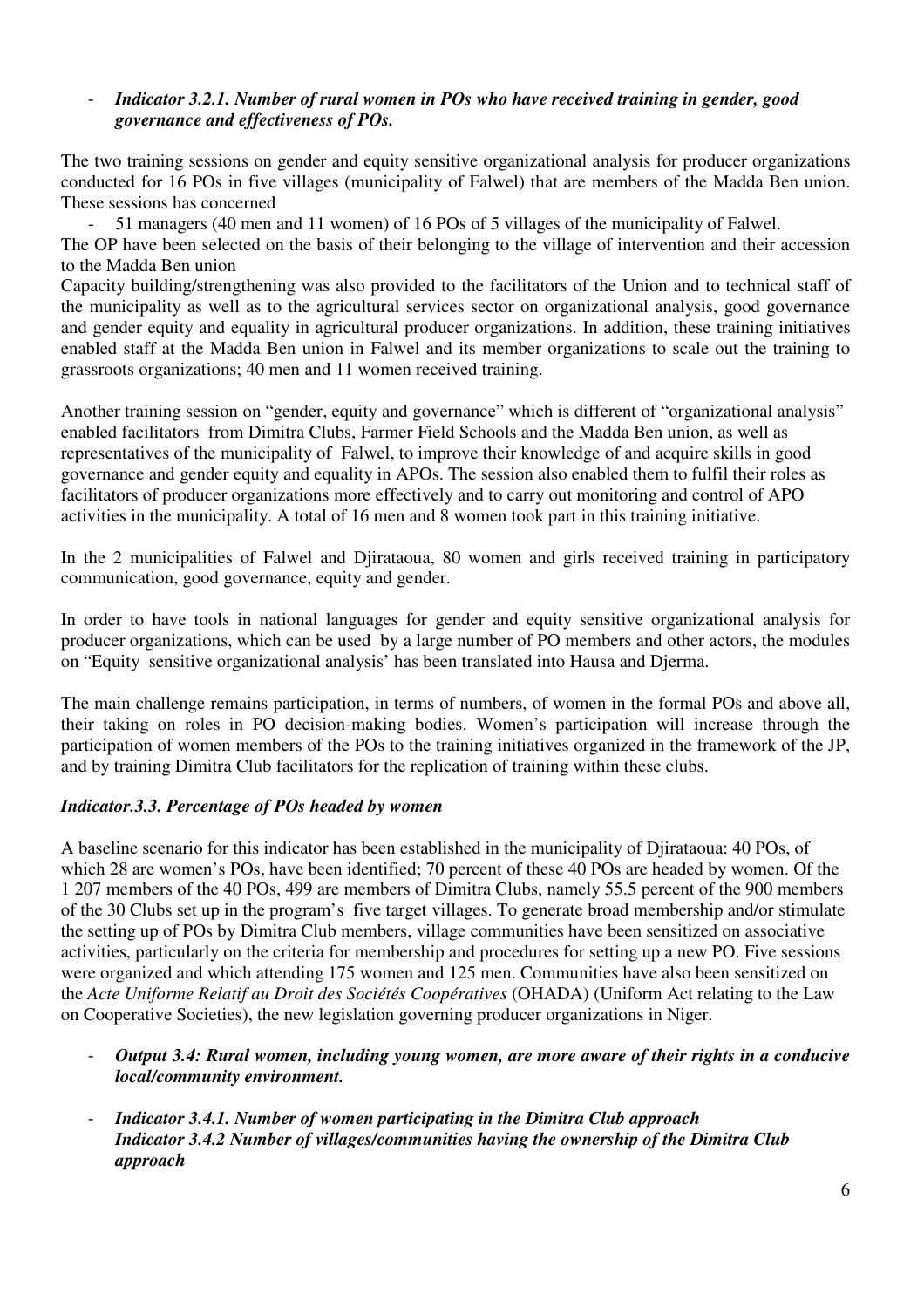#### - *Indicator 3.2.1. Number of rural women in POs who have received training in gender, good governance and effectiveness of POs.*

The two training sessions on gender and equity sensitive organizational analysis for producer organizations conducted for 16 POs in five villages (municipality of Falwel) that are members of the Madda Ben union. These sessions has concerned

- 51 managers (40 men and 11 women) of 16 POs of 5 villages of the municipality of Falwel. The OP have been selected on the basis of their belonging to the village of intervention and their accession to the Madda Ben union

Capacity building/strengthening was also provided to the facilitators of the Union and to technical staff of the municipality as well as to the agricultural services sector on organizational analysis, good governance and gender equity and equality in agricultural producer organizations. In addition, these training initiatives enabled staff at the Madda Ben union in Falwel and its member organizations to scale out the training to grassroots organizations; 40 men and 11 women received training.

Another training session on "gender, equity and governance" which is different of "organizational analysis" enabled facilitators from Dimitra Clubs, Farmer Field Schools and the Madda Ben union, as well as representatives of the municipality of Falwel, to improve their knowledge of and acquire skills in good governance and gender equity and equality in APOs. The session also enabled them to fulfil their roles as facilitators of producer organizations more effectively and to carry out monitoring and control of APO activities in the municipality. A total of 16 men and 8 women took part in this training initiative.

In the 2 municipalities of Falwel and Djirataoua, 80 women and girls received training in participatory communication, good governance, equity and gender.

In order to have tools in national languages for gender and equity sensitive organizational analysis for producer organizations, which can be used by a large number of PO members and other actors, the modules on "Equity sensitive organizational analysis' has been translated into Hausa and Djerma.

The main challenge remains participation, in terms of numbers, of women in the formal POs and above all, their taking on roles in PO decision-making bodies. Women's participation will increase through the participation of women members of the POs to the training initiatives organized in the framework of the JP, and by training Dimitra Club facilitators for the replication of training within these clubs.

# *Indicator.3.3. Percentage of POs headed by women*

A baseline scenario for this indicator has been established in the municipality of Djirataoua: 40 POs, of which 28 are women's POs, have been identified; 70 percent of these 40 POs are headed by women. Of the 1 207 members of the 40 POs, 499 are members of Dimitra Clubs, namely 55.5 percent of the 900 members of the 30 Clubs set up in the program's five target villages. To generate broad membership and/or stimulate the setting up of POs by Dimitra Club members, village communities have been sensitized on associative activities, particularly on the criteria for membership and procedures for setting up a new PO. Five sessions were organized and which attending 175 women and 125 men. Communities have also been sensitized on the *Acte Uniforme Relatif au Droit des Sociétés Coopératives* (OHADA) (Uniform Act relating to the Law on Cooperative Societies), the new legislation governing producer organizations in Niger.

- *Output 3.4: Rural women, including young women, are more aware of their rights in a conducive local/community environment.*
- *Indicator 3.4.1. Number of women participating in the Dimitra Club approach Indicator 3.4.2 Number of villages/communities having the ownership of the Dimitra Club approach*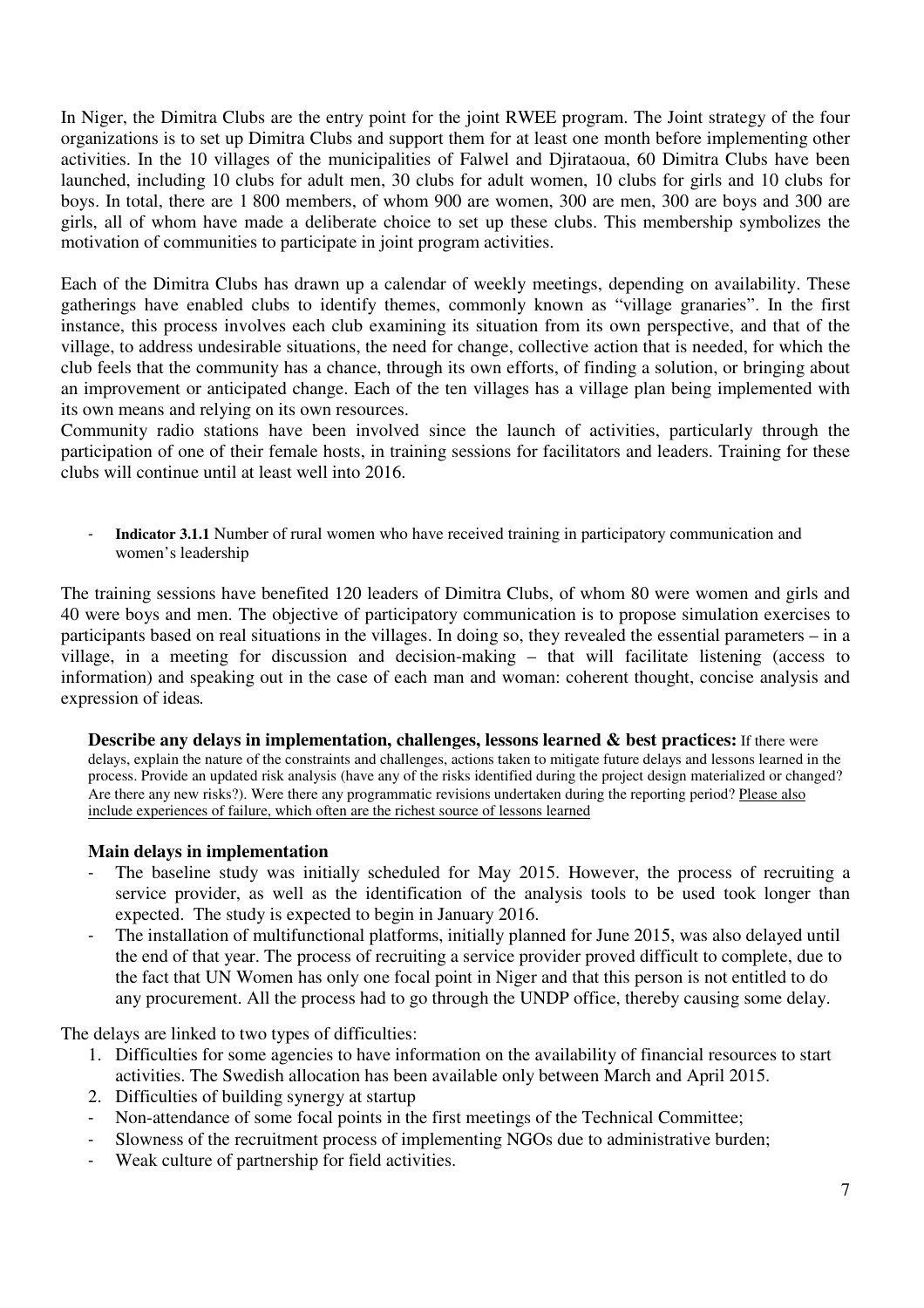In Niger, the Dimitra Clubs are the entry point for the joint RWEE program. The Joint strategy of the four organizations is to set up Dimitra Clubs and support them for at least one month before implementing other activities. In the 10 villages of the municipalities of Falwel and Djirataoua, 60 Dimitra Clubs have been launched, including 10 clubs for adult men, 30 clubs for adult women, 10 clubs for girls and 10 clubs for boys. In total, there are 1 800 members, of whom 900 are women, 300 are men, 300 are boys and 300 are girls, all of whom have made a deliberate choice to set up these clubs. This membership symbolizes the motivation of communities to participate in joint program activities.

Each of the Dimitra Clubs has drawn up a calendar of weekly meetings, depending on availability. These gatherings have enabled clubs to identify themes, commonly known as "village granaries". In the first instance, this process involves each club examining its situation from its own perspective, and that of the village, to address undesirable situations, the need for change, collective action that is needed, for which the club feels that the community has a chance, through its own efforts, of finding a solution, or bringing about an improvement or anticipated change. Each of the ten villages has a village plan being implemented with its own means and relying on its own resources.

Community radio stations have been involved since the launch of activities, particularly through the participation of one of their female hosts, in training sessions for facilitators and leaders. Training for these clubs will continue until at least well into 2016.

Indicator 3.1.1 Number of rural women who have received training in participatory communication and women's leadership

The training sessions have benefited 120 leaders of Dimitra Clubs, of whom 80 were women and girls and 40 were boys and men. The objective of participatory communication is to propose simulation exercises to participants based on real situations in the villages. In doing so, they revealed the essential parameters – in a village, in a meeting for discussion and decision-making – that will facilitate listening (access to information) and speaking out in the case of each man and woman: coherent thought, concise analysis and expression of ideas*.*

**Describe any delays in implementation, challenges, lessons learned & best practices:** If there were delays, explain the nature of the constraints and challenges, actions taken to mitigate future delays and lessons learned in the process. Provide an updated risk analysis (have any of the risks identified during the project design materialized or changed? Are there any new risks?). Were there any programmatic revisions undertaken during the reporting period? Please also include experiences of failure, which often are the richest source of lessons learned

#### **Main delays in implementation**

- The baseline study was initially scheduled for May 2015. However, the process of recruiting a service provider, as well as the identification of the analysis tools to be used took longer than expected. The study is expected to begin in January 2016.
- The installation of multifunctional platforms, initially planned for June 2015, was also delayed until the end of that year. The process of recruiting a service provider proved difficult to complete, due to the fact that UN Women has only one focal point in Niger and that this person is not entitled to do any procurement. All the process had to go through the UNDP office, thereby causing some delay.

The delays are linked to two types of difficulties:

- 1. Difficulties for some agencies to have information on the availability of financial resources to start activities. The Swedish allocation has been available only between March and April 2015.
- 2. Difficulties of building synergy at startup
- Non-attendance of some focal points in the first meetings of the Technical Committee;
- Slowness of the recruitment process of implementing NGOs due to administrative burden;
- Weak culture of partnership for field activities.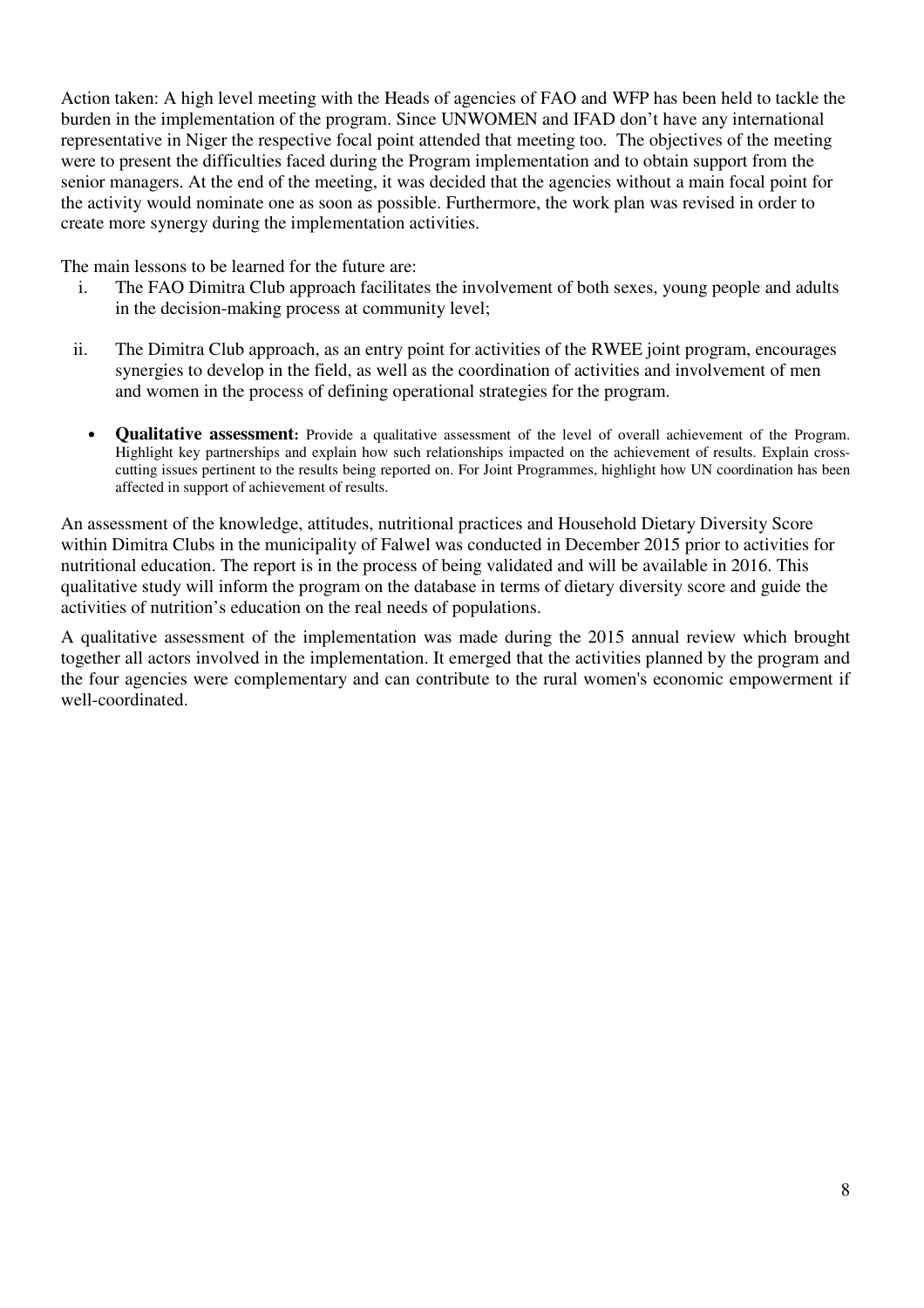Action taken: A high level meeting with the Heads of agencies of FAO and WFP has been held to tackle the burden in the implementation of the program. Since UNWOMEN and IFAD don't have any international representative in Niger the respective focal point attended that meeting too. The objectives of the meeting were to present the difficulties faced during the Program implementation and to obtain support from the senior managers. At the end of the meeting, it was decided that the agencies without a main focal point for the activity would nominate one as soon as possible. Furthermore, the work plan was revised in order to create more synergy during the implementation activities.

The main lessons to be learned for the future are:

- i. The FAO Dimitra Club approach facilitates the involvement of both sexes, young people and adults in the decision-making process at community level;
- ii. The Dimitra Club approach, as an entry point for activities of the RWEE joint program, encourages synergies to develop in the field, as well as the coordination of activities and involvement of men and women in the process of defining operational strategies for the program.
	- **Qualitative assessment:** Provide a qualitative assessment of the level of overall achievement of the Program. Highlight key partnerships and explain how such relationships impacted on the achievement of results. Explain crosscutting issues pertinent to the results being reported on. For Joint Programmes, highlight how UN coordination has been affected in support of achievement of results.

An assessment of the knowledge, attitudes, nutritional practices and Household Dietary Diversity Score within Dimitra Clubs in the municipality of Falwel was conducted in December 2015 prior to activities for nutritional education. The report is in the process of being validated and will be available in 2016. This qualitative study will inform the program on the database in terms of dietary diversity score and guide the activities of nutrition's education on the real needs of populations.

A qualitative assessment of the implementation was made during the 2015 annual review which brought together all actors involved in the implementation. It emerged that the activities planned by the program and the four agencies were complementary and can contribute to the rural women's economic empowerment if well-coordinated.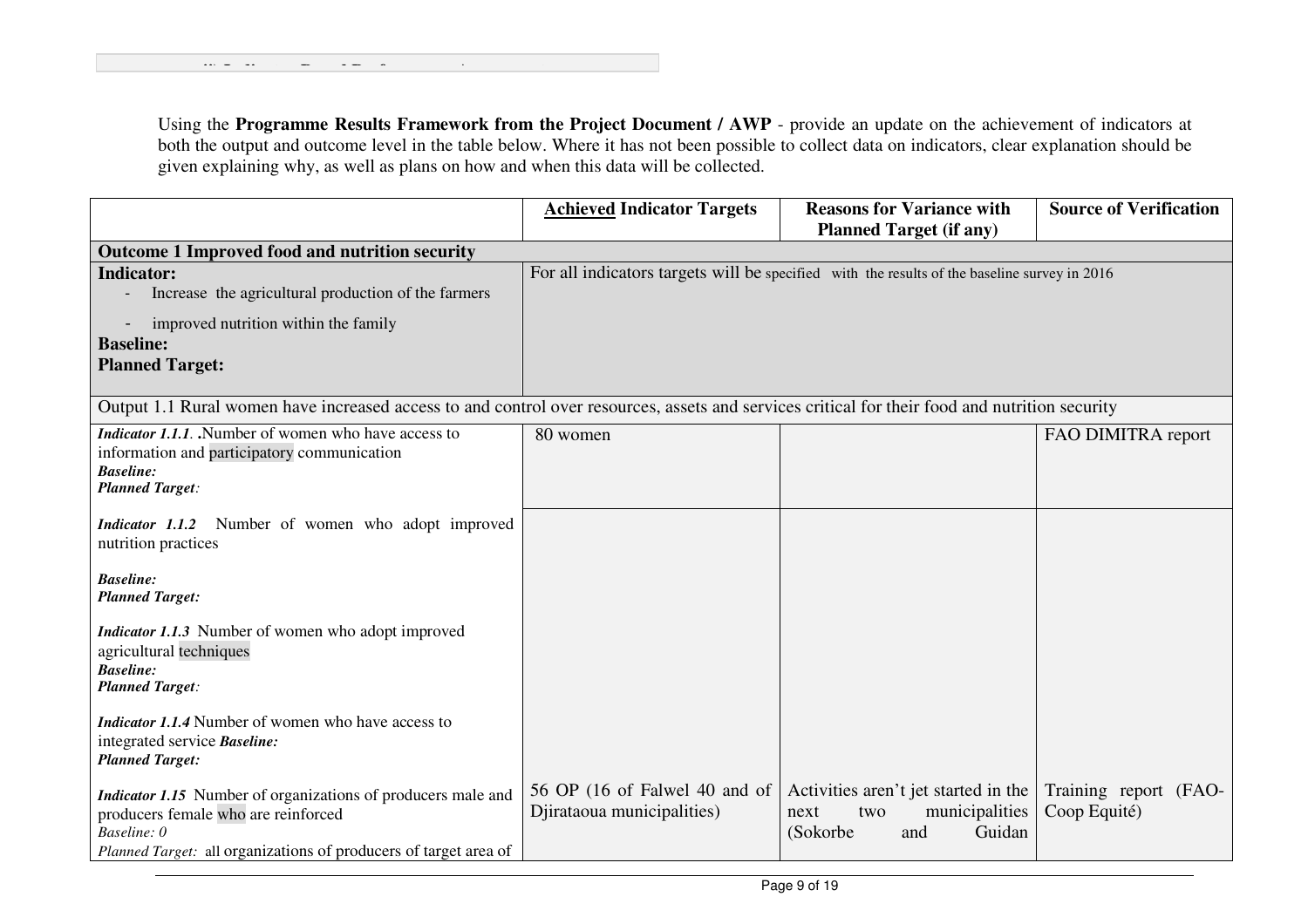**ii) Indicator Based Performance Assessment:**

|                                                                                                                                                | <b>Achieved Indicator Targets</b> | <b>Reasons for Variance with</b>                                                             | <b>Source of Verification</b> |
|------------------------------------------------------------------------------------------------------------------------------------------------|-----------------------------------|----------------------------------------------------------------------------------------------|-------------------------------|
|                                                                                                                                                |                                   | <b>Planned Target (if any)</b>                                                               |                               |
| Outcome 1 Improved food and nutrition security                                                                                                 |                                   |                                                                                              |                               |
| <b>Indicator:</b>                                                                                                                              |                                   | For all indicators targets will be specified with the results of the baseline survey in 2016 |                               |
| Increase the agricultural production of the farmers                                                                                            |                                   |                                                                                              |                               |
| improved nutrition within the family                                                                                                           |                                   |                                                                                              |                               |
| <b>Baseline:</b>                                                                                                                               |                                   |                                                                                              |                               |
| <b>Planned Target:</b>                                                                                                                         |                                   |                                                                                              |                               |
|                                                                                                                                                |                                   |                                                                                              |                               |
| Output 1.1 Rural women have increased access to and control over resources, assets and services critical for their food and nutrition security |                                   |                                                                                              |                               |
| <i>Indicator 1.1.1.</i> Number of women who have access to                                                                                     | 80 women                          |                                                                                              | FAO DIMITRA report            |
| information and participatory communication                                                                                                    |                                   |                                                                                              |                               |
| <b>Baseline:</b>                                                                                                                               |                                   |                                                                                              |                               |
| <b>Planned Target:</b>                                                                                                                         |                                   |                                                                                              |                               |
| Indicator 1.1.2 Number of women who adopt improved                                                                                             |                                   |                                                                                              |                               |
| nutrition practices                                                                                                                            |                                   |                                                                                              |                               |
|                                                                                                                                                |                                   |                                                                                              |                               |
| <b>Baseline:</b>                                                                                                                               |                                   |                                                                                              |                               |
| <b>Planned Target:</b>                                                                                                                         |                                   |                                                                                              |                               |
|                                                                                                                                                |                                   |                                                                                              |                               |
| Indicator 1.1.3 Number of women who adopt improved                                                                                             |                                   |                                                                                              |                               |
| agricultural techniques<br><b>Baseline:</b>                                                                                                    |                                   |                                                                                              |                               |
| <b>Planned Target:</b>                                                                                                                         |                                   |                                                                                              |                               |
|                                                                                                                                                |                                   |                                                                                              |                               |
| Indicator 1.1.4 Number of women who have access to                                                                                             |                                   |                                                                                              |                               |
| integrated service <b>Baseline</b> :                                                                                                           |                                   |                                                                                              |                               |
| <b>Planned Target:</b>                                                                                                                         |                                   |                                                                                              |                               |
| <i>Indicator 1.15</i> Number of organizations of producers male and                                                                            | 56 OP (16 of Falwel 40 and of     | Activities aren't jet started in the                                                         | Training report (FAO-         |
| producers female who are reinforced                                                                                                            | Djirataoua municipalities)        | municipalities<br>next<br>two                                                                | Coop Equité)                  |
| Baseline: 0                                                                                                                                    |                                   | (Sokorbe<br>Guidan<br>and                                                                    |                               |
| Planned Target: all organizations of producers of target area of                                                                               |                                   |                                                                                              |                               |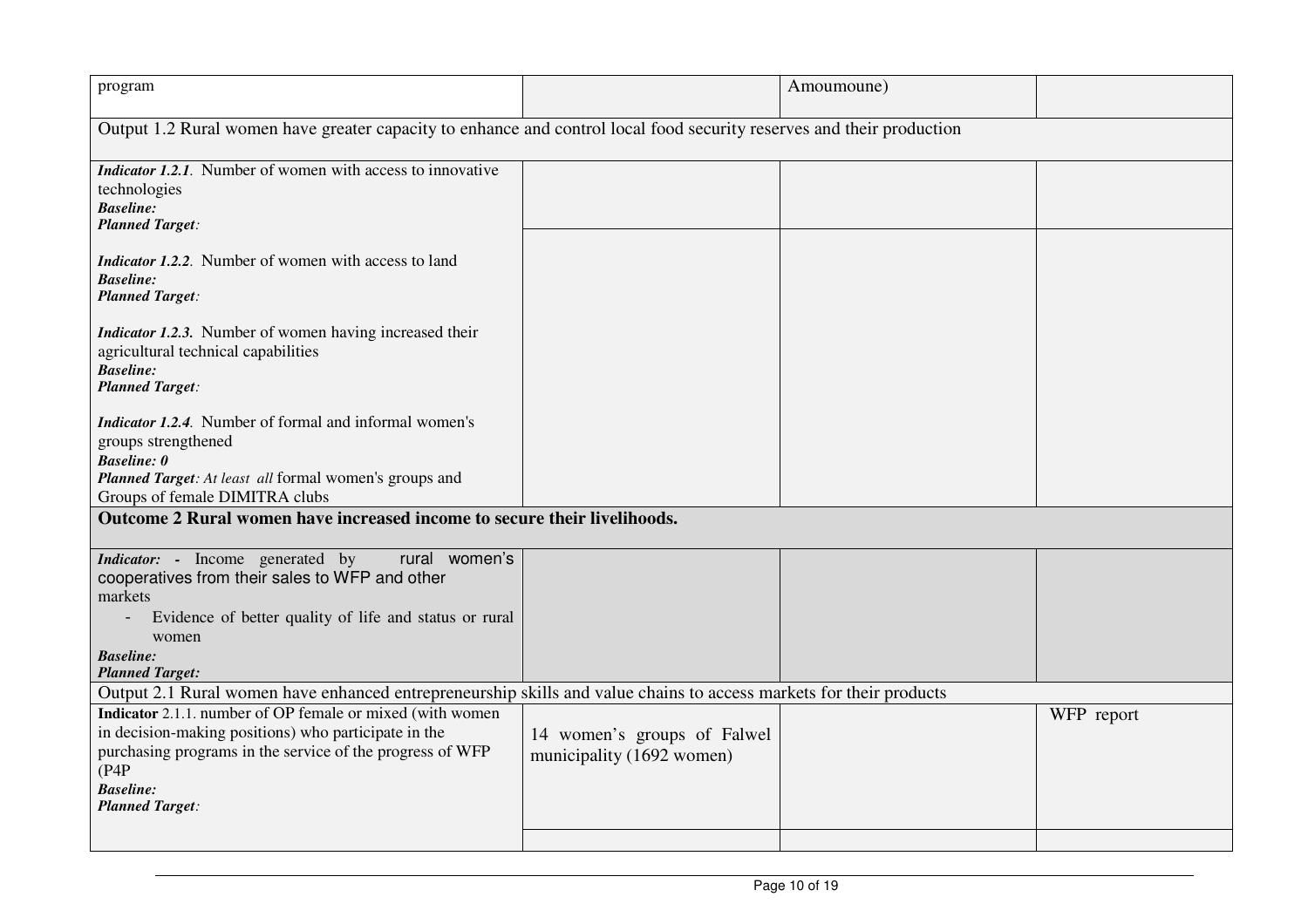| program                                                                                                                                                                                                                                |                                                          | Amoumoune) |            |
|----------------------------------------------------------------------------------------------------------------------------------------------------------------------------------------------------------------------------------------|----------------------------------------------------------|------------|------------|
| Output 1.2 Rural women have greater capacity to enhance and control local food security reserves and their production                                                                                                                  |                                                          |            |            |
| <i>Indicator 1.2.1.</i> Number of women with access to innovative<br>technologies<br><b>Baseline:</b><br><b>Planned Target:</b>                                                                                                        |                                                          |            |            |
| <i>Indicator 1.2.2.</i> Number of women with access to land<br><b>Baseline:</b><br><b>Planned Target:</b>                                                                                                                              |                                                          |            |            |
| <i>Indicator 1.2.3.</i> Number of women having increased their<br>agricultural technical capabilities<br><b>Baseline:</b><br><b>Planned Target:</b>                                                                                    |                                                          |            |            |
| <i>Indicator 1.2.4.</i> Number of formal and informal women's<br>groups strengthened<br><b>Baseline:</b> 0<br>Planned Target: At least all formal women's groups and<br>Groups of female DIMITRA clubs                                 |                                                          |            |            |
| Outcome 2 Rural women have increased income to secure their livelihoods.                                                                                                                                                               |                                                          |            |            |
| <i>Indicator:</i> - Income generated by<br>rural women's<br>cooperatives from their sales to WFP and other<br>markets<br>Evidence of better quality of life and status or rural<br>women<br><b>Baseline:</b><br><b>Planned Target:</b> |                                                          |            |            |
| Output 2.1 Rural women have enhanced entrepreneurship skills and value chains to access markets for their products                                                                                                                     |                                                          |            |            |
| Indicator 2.1.1. number of OP female or mixed (with women<br>in decision-making positions) who participate in the<br>purchasing programs in the service of the progress of WFP<br>(P4P)<br><b>Baseline:</b><br><b>Planned Target:</b>  | 14 women's groups of Falwel<br>municipality (1692 women) |            | WFP report |
|                                                                                                                                                                                                                                        |                                                          |            |            |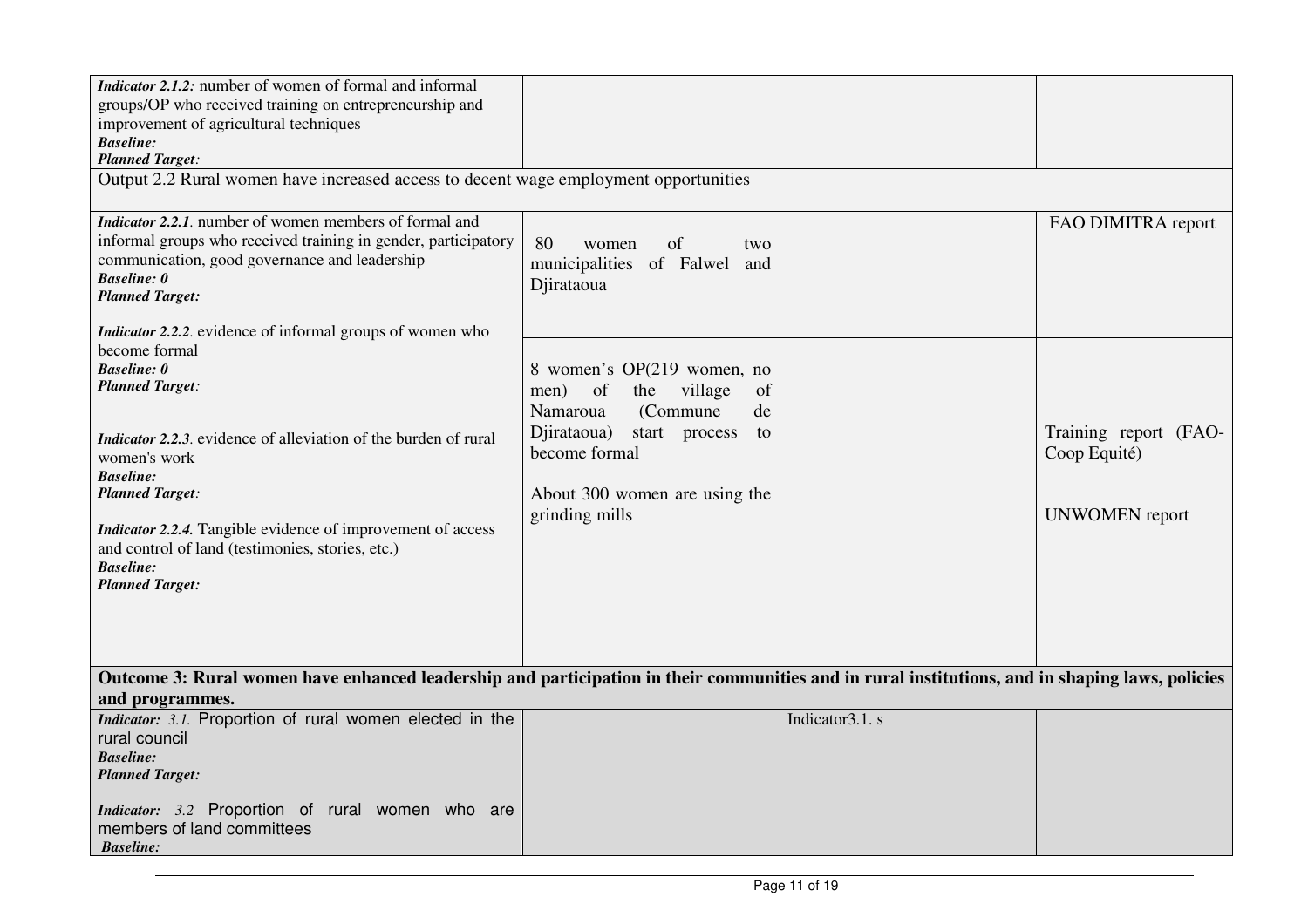| <i>Indicator 2.1.2:</i> number of women of formal and informal<br>groups/OP who received training on entrepreneurship and<br>improvement of agricultural techniques<br><b>Baseline:</b><br><b>Planned Target:</b><br>Output 2.2 Rural women have increased access to decent wage employment opportunities                                                                                                                                         |                                                                                                                                                                                                          |                  |                                                                |
|---------------------------------------------------------------------------------------------------------------------------------------------------------------------------------------------------------------------------------------------------------------------------------------------------------------------------------------------------------------------------------------------------------------------------------------------------|----------------------------------------------------------------------------------------------------------------------------------------------------------------------------------------------------------|------------------|----------------------------------------------------------------|
| <i>Indicator 2.2.1.</i> number of women members of formal and<br>informal groups who received training in gender, participatory<br>communication, good governance and leadership<br><b>Baseline:</b> 0<br><b>Planned Target:</b>                                                                                                                                                                                                                  | 80<br>of<br>women<br>two<br>municipalities of Falwel<br>and<br>Djirataoua                                                                                                                                |                  | FAO DIMITRA report                                             |
| <i>Indicator 2.2.2.</i> evidence of informal groups of women who<br>become formal<br><b>Baseline: 0</b><br><b>Planned Target:</b><br><i>Indicator 2.2.3.</i> evidence of alleviation of the burden of rural<br>women's work<br><b>Baseline:</b><br><b>Planned Target:</b><br><i>Indicator 2.2.4.</i> Tangible evidence of improvement of access<br>and control of land (testimonies, stories, etc.)<br><b>Baseline:</b><br><b>Planned Target:</b> | 8 women's OP(219 women, no<br>men)<br>of<br>the<br>village<br>of<br>(Commune<br>Namaroua<br>de<br>Djirataoua)<br>start process<br>to<br>become formal<br>About 300 women are using the<br>grinding mills |                  | Training report (FAO-<br>Coop Equité)<br><b>UNWOMEN</b> report |
| Outcome 3: Rural women have enhanced leadership and participation in their communities and in rural institutions, and in shaping laws, policies<br>and programmes.                                                                                                                                                                                                                                                                                |                                                                                                                                                                                                          |                  |                                                                |
| Indicator: 3.1. Proportion of rural women elected in the<br>rural council<br><b>Baseline:</b><br><b>Planned Target:</b><br>Indicator: 3.2 Proportion of rural women who are<br>members of land committees<br><b>Baseline:</b>                                                                                                                                                                                                                     |                                                                                                                                                                                                          | Indicator 3.1. s |                                                                |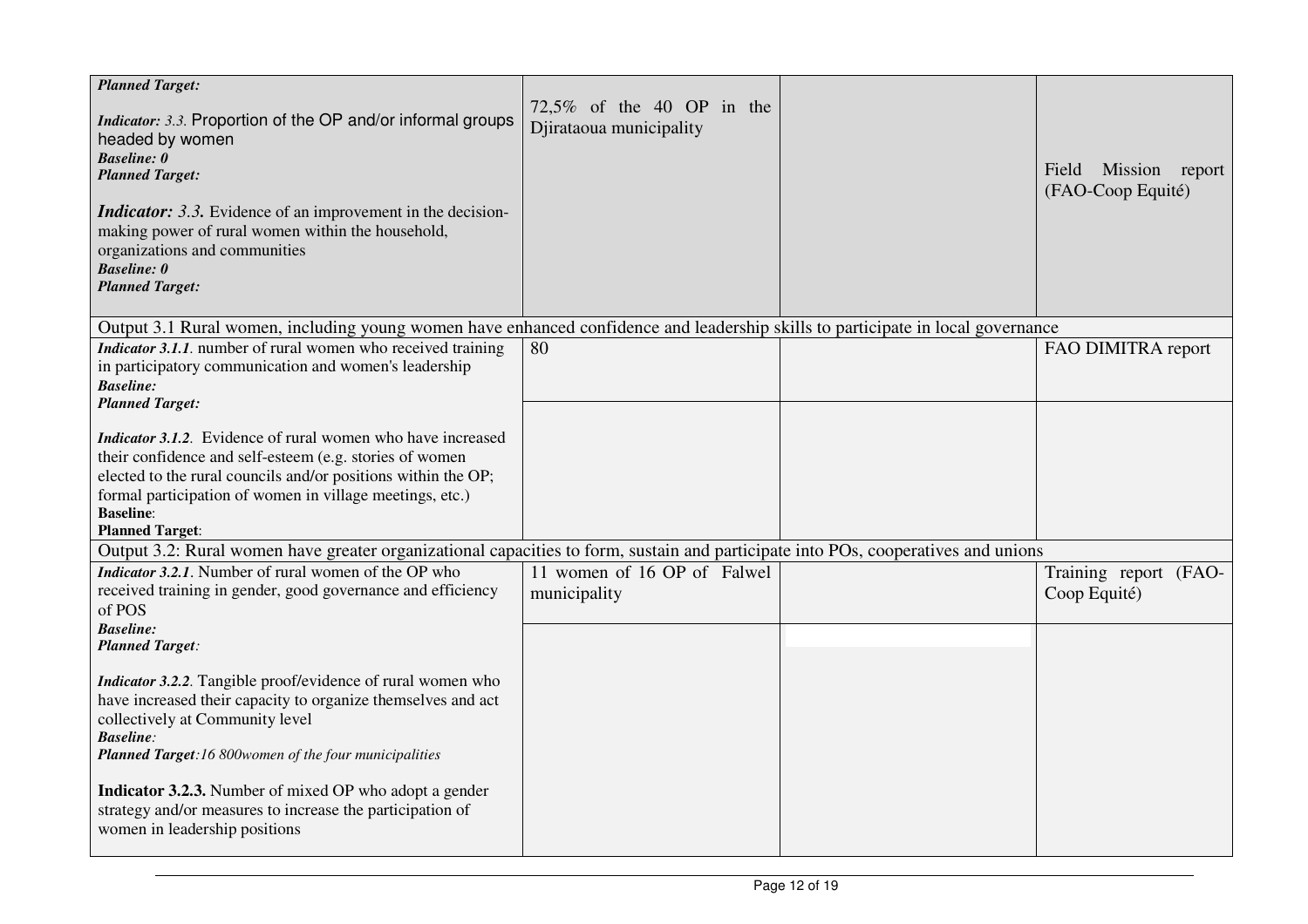| <b>Planned Target:</b><br><i>Indicator: 3.3.</i> Proportion of the OP and/or informal groups<br>headed by women<br><b>Baseline: 0</b><br><b>Planned Target:</b><br><i>Indicator:</i> 3.3. Evidence of an improvement in the decision-<br>making power of rural women within the household,<br>organizations and communities<br><b>Baseline: 0</b><br><b>Planned Target:</b> | 72,5% of the 40 OP in the<br>Djirataoua municipality | Field Mission report<br>(FAO-Coop Equité) |
|-----------------------------------------------------------------------------------------------------------------------------------------------------------------------------------------------------------------------------------------------------------------------------------------------------------------------------------------------------------------------------|------------------------------------------------------|-------------------------------------------|
| Output 3.1 Rural women, including young women have enhanced confidence and leadership skills to participate in local governance                                                                                                                                                                                                                                             |                                                      |                                           |
| Indicator 3.1.1. number of rural women who received training<br>in participatory communication and women's leadership<br><b>Baseline:</b><br><b>Planned Target:</b>                                                                                                                                                                                                         | 80                                                   | FAO DIMITRA report                        |
| <i>Indicator 3.1.2.</i> Evidence of rural women who have increased<br>their confidence and self-esteem (e.g. stories of women<br>elected to the rural councils and/or positions within the OP;<br>formal participation of women in village meetings, etc.)<br><b>Baseline:</b><br><b>Planned Target:</b>                                                                    |                                                      |                                           |
| Output 3.2: Rural women have greater organizational capacities to form, sustain and participate into POs, cooperatives and unions                                                                                                                                                                                                                                           |                                                      |                                           |
| <i>Indicator 3.2.1.</i> Number of rural women of the OP who<br>received training in gender, good governance and efficiency<br>of POS<br><b>Baseline:</b>                                                                                                                                                                                                                    | 11 women of 16 OP of Falwel<br>municipality          | Training report (FAO-<br>Coop Equité)     |
| <b>Planned Target:</b>                                                                                                                                                                                                                                                                                                                                                      |                                                      |                                           |
| Indicator 3.2.2. Tangible proof/evidence of rural women who<br>have increased their capacity to organize themselves and act<br>collectively at Community level<br><b>Baseline:</b><br>Planned Target:16 800women of the four municipalities                                                                                                                                 |                                                      |                                           |
| Indicator 3.2.3. Number of mixed OP who adopt a gender<br>strategy and/or measures to increase the participation of<br>women in leadership positions                                                                                                                                                                                                                        |                                                      |                                           |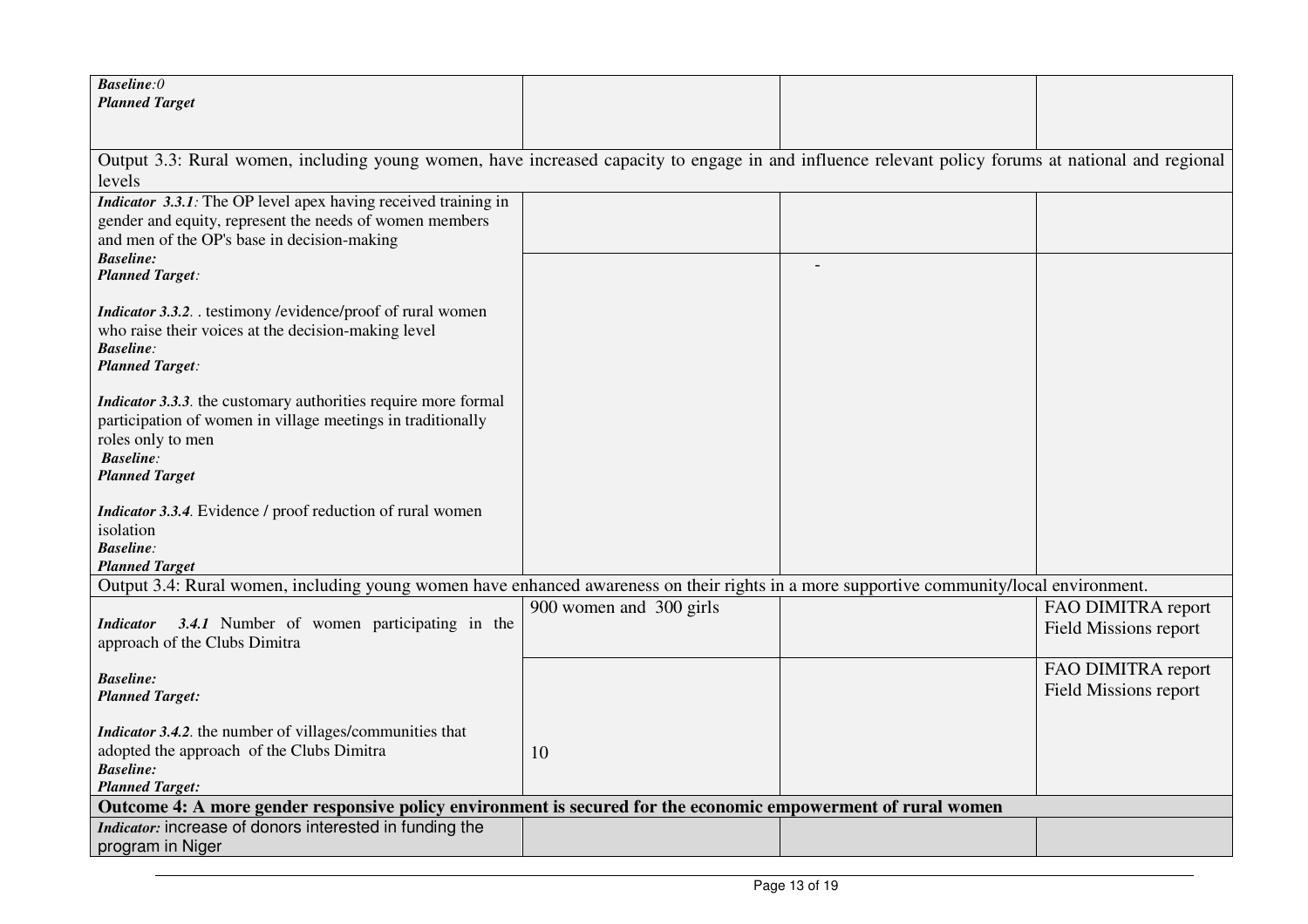| <b>Baseline:0</b>                                                                                                                                  |                         |                                                    |
|----------------------------------------------------------------------------------------------------------------------------------------------------|-------------------------|----------------------------------------------------|
| <b>Planned Target</b>                                                                                                                              |                         |                                                    |
|                                                                                                                                                    |                         |                                                    |
| Output 3.3: Rural women, including young women, have increased capacity to engage in and influence relevant policy forums at national and regional |                         |                                                    |
| levels<br>Indicator 3.3.1: The OP level apex having received training in                                                                           |                         |                                                    |
| gender and equity, represent the needs of women members                                                                                            |                         |                                                    |
| and men of the OP's base in decision-making                                                                                                        |                         |                                                    |
| <b>Baseline:</b>                                                                                                                                   |                         |                                                    |
| <b>Planned Target:</b>                                                                                                                             |                         |                                                    |
| Indicator 3.3.2. testimony /evidence/proof of rural women                                                                                          |                         |                                                    |
| who raise their voices at the decision-making level                                                                                                |                         |                                                    |
| <b>Baseline:</b>                                                                                                                                   |                         |                                                    |
| <b>Planned Target:</b>                                                                                                                             |                         |                                                    |
| <i>Indicator 3.3.3.</i> the customary authorities require more formal                                                                              |                         |                                                    |
| participation of women in village meetings in traditionally                                                                                        |                         |                                                    |
| roles only to men<br><b>Baseline:</b>                                                                                                              |                         |                                                    |
| <b>Planned Target</b>                                                                                                                              |                         |                                                    |
|                                                                                                                                                    |                         |                                                    |
| <i>Indicator 3.3.4.</i> Evidence / proof reduction of rural women                                                                                  |                         |                                                    |
| isolation<br><b>Baseline:</b>                                                                                                                      |                         |                                                    |
| <b>Planned Target</b>                                                                                                                              |                         |                                                    |
| Output 3.4: Rural women, including young women have enhanced awareness on their rights in a more supportive community/local environment.           |                         |                                                    |
|                                                                                                                                                    | 900 women and 300 girls | FAO DIMITRA report                                 |
| 3.4.1 Number of women participating in the<br><i>Indicator</i><br>approach of the Clubs Dimitra                                                    |                         | Field Missions report                              |
|                                                                                                                                                    |                         |                                                    |
| <b>Baseline:</b>                                                                                                                                   |                         | FAO DIMITRA report<br><b>Field Missions report</b> |
| <b>Planned Target:</b>                                                                                                                             |                         |                                                    |
| <i>Indicator 3.4.2.</i> the number of villages/communities that                                                                                    |                         |                                                    |
| adopted the approach of the Clubs Dimitra                                                                                                          | 10                      |                                                    |
| <b>Baseline:</b>                                                                                                                                   |                         |                                                    |
| <b>Planned Target:</b><br>Outcome 4: A more gender responsive policy environment is secured for the economic empowerment of rural women            |                         |                                                    |
| Indicator: increase of donors interested in funding the                                                                                            |                         |                                                    |
| program in Niger                                                                                                                                   |                         |                                                    |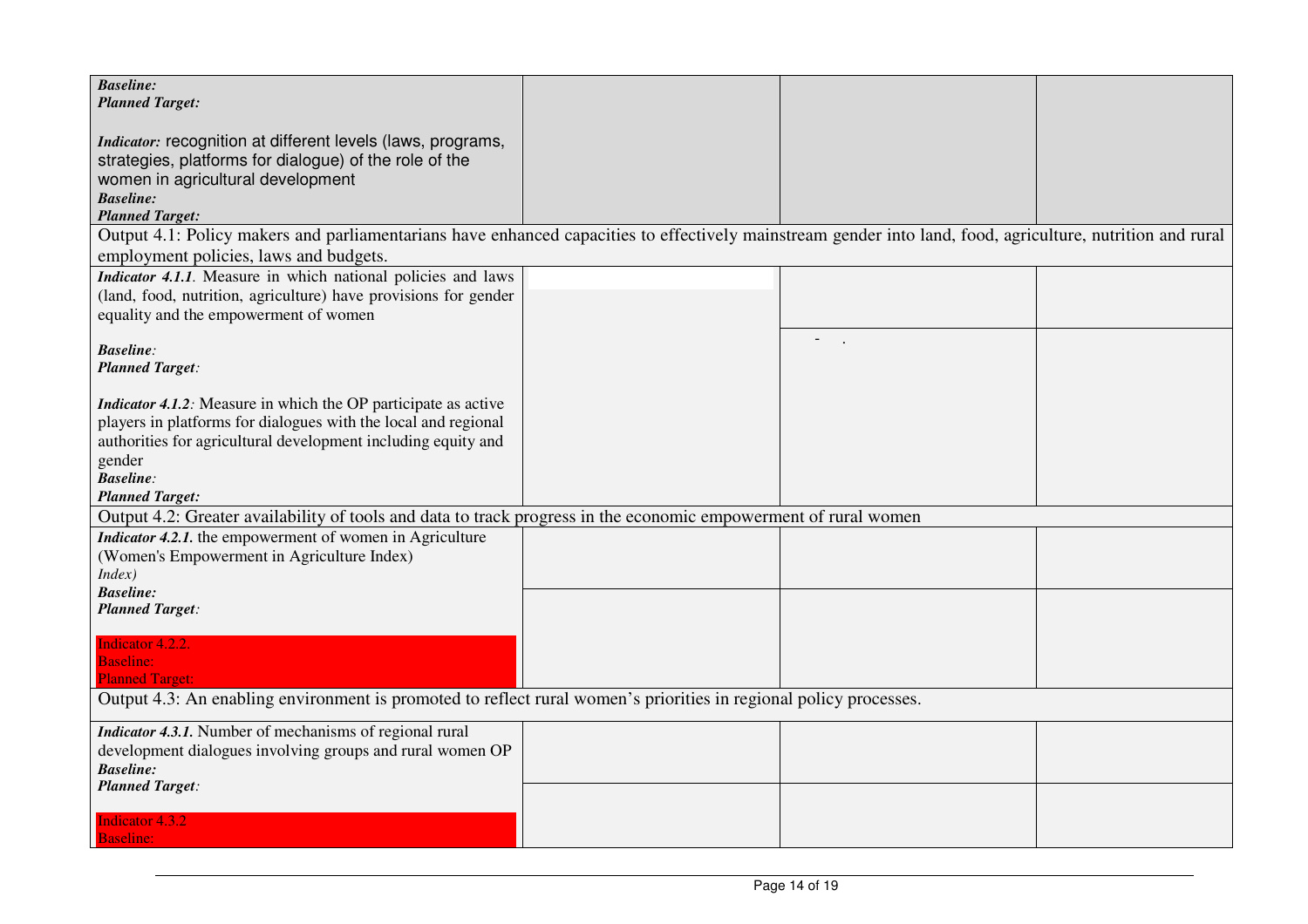| <b>Baseline:</b><br><b>Planned Target:</b>                                                                                                                 |                          |  |
|------------------------------------------------------------------------------------------------------------------------------------------------------------|--------------------------|--|
|                                                                                                                                                            |                          |  |
| Indicator: recognition at different levels (laws, programs,                                                                                                |                          |  |
| strategies, platforms for dialogue) of the role of the                                                                                                     |                          |  |
| women in agricultural development                                                                                                                          |                          |  |
| <b>Baseline:</b><br><b>Planned Target:</b>                                                                                                                 |                          |  |
| Output 4.1: Policy makers and parliamentarians have enhanced capacities to effectively mainstream gender into land, food, agriculture, nutrition and rural |                          |  |
| employment policies, laws and budgets.                                                                                                                     |                          |  |
| Indicator 4.1.1. Measure in which national policies and laws                                                                                               |                          |  |
| (land, food, nutrition, agriculture) have provisions for gender                                                                                            |                          |  |
| equality and the empowerment of women                                                                                                                      |                          |  |
|                                                                                                                                                            | $\overline{\phantom{0}}$ |  |
| <b>Baseline:</b>                                                                                                                                           |                          |  |
| <b>Planned Target:</b>                                                                                                                                     |                          |  |
| <i>Indicator 4.1.2:</i> Measure in which the OP participate as active                                                                                      |                          |  |
| players in platforms for dialogues with the local and regional                                                                                             |                          |  |
| authorities for agricultural development including equity and                                                                                              |                          |  |
| gender                                                                                                                                                     |                          |  |
| <b>Baseline:</b>                                                                                                                                           |                          |  |
| <b>Planned Target:</b>                                                                                                                                     |                          |  |
| Output 4.2: Greater availability of tools and data to track progress in the economic empowerment of rural women                                            |                          |  |
| <i>Indicator 4.2.1.</i> the empowerment of women in Agriculture<br>(Women's Empowerment in Agriculture Index)                                              |                          |  |
| Index)                                                                                                                                                     |                          |  |
| <b>Baseline:</b>                                                                                                                                           |                          |  |
| <b>Planned Target:</b>                                                                                                                                     |                          |  |
|                                                                                                                                                            |                          |  |
| <b>Indicator 4.2.2.</b><br><b>Baseline:</b>                                                                                                                |                          |  |
| <b>Planned Target:</b>                                                                                                                                     |                          |  |
| Output 4.3: An enabling environment is promoted to reflect rural women's priorities in regional policy processes.                                          |                          |  |
| Indicator 4.3.1. Number of mechanisms of regional rural                                                                                                    |                          |  |
| development dialogues involving groups and rural women OP                                                                                                  |                          |  |
| <b>Baseline:</b>                                                                                                                                           |                          |  |
| <b>Planned Target:</b>                                                                                                                                     |                          |  |
| <b>Indicator 4.3.2</b>                                                                                                                                     |                          |  |
| <b>Baseline:</b>                                                                                                                                           |                          |  |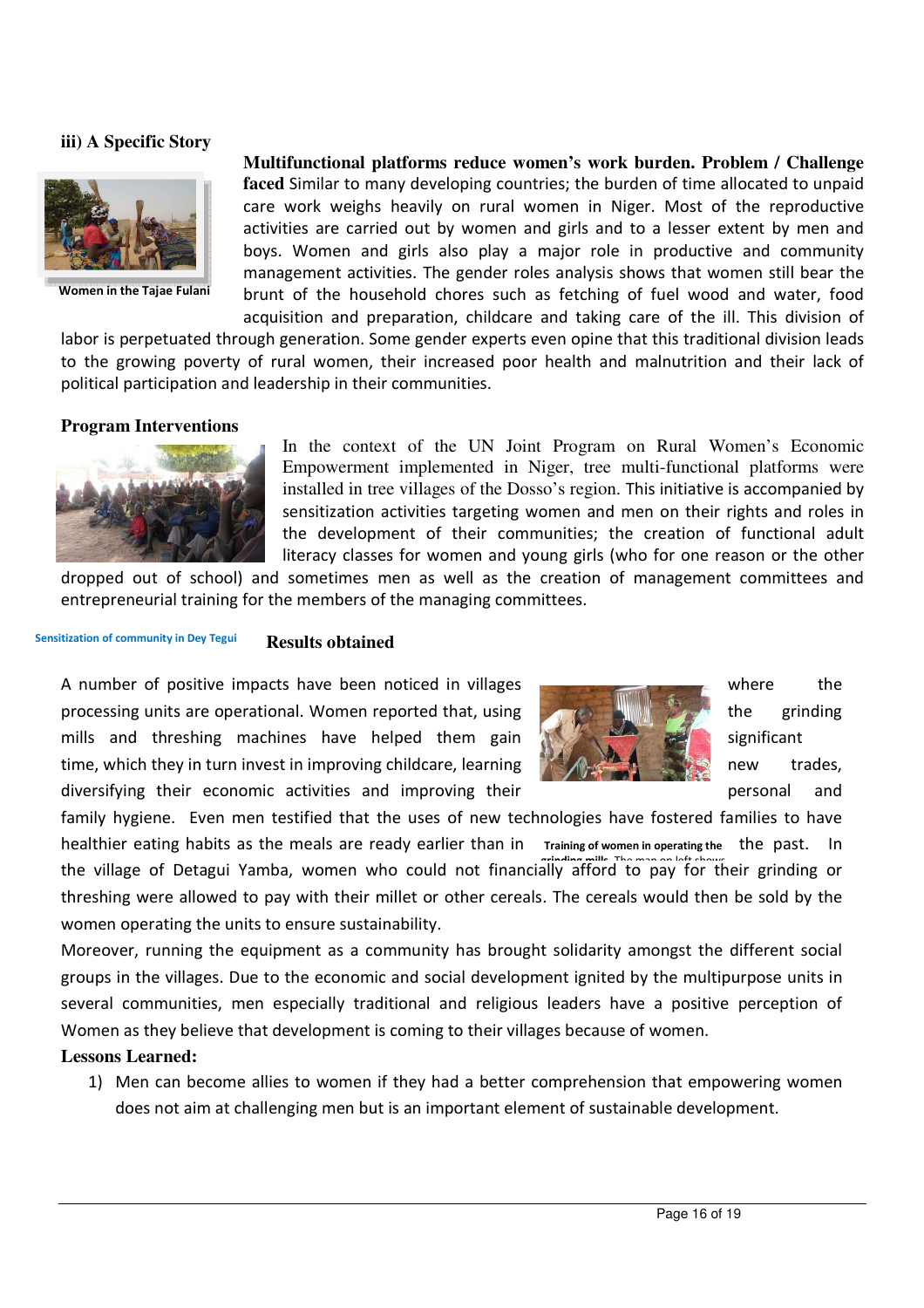#### **iii) A Specific Story**



**Women in the Tajae Fulani**

**Multifunctional platforms reduce women's work burden. Problem / Challenge faced** Similar to many developing countries; the burden of time allocated to unpaid care work weighs heavily on rural women in Niger. Most of the reproductive activities are carried out by women and girls and to a lesser extent by men and boys. Women and girls also play a major role in productive and community management activities. The gender roles analysis shows that women still bear the brunt of the household chores such as fetching of fuel wood and water, food acquisition and preparation, childcare and taking care of the ill. This division of

labor is perpetuated through generation. Some gender experts even opine that this traditional division leads to the growing poverty of rural women, their increased poor health and malnutrition and their lack of political participation and leadership in their communities.

#### **Program Interventions**



In the context of the UN Joint Program on Rural Women's Economic Empowerment implemented in Niger, tree multi-functional platforms were installed in tree villages of the Dosso's region. This initiative is accompanied by sensitization activities targeting women and men on their rights and roles in the development of their communities; the creation of functional adult literacy classes for women and young girls (who for one reason or the other

dropped out of school) and sometimes men as well as the creation of management committees and entrepreneurial training for the members of the managing committees.

#### **Results obtained Sensitization of community in Dey Tegui**

A number of positive impacts have been noticed in villages where the processing units are operational. Women reported that, using the grinding the grinding mills and threshing machines have helped them gain  $\mathbb{R}$  significant time, which they in turn invest in improving childcare, learning new trades, new trades, diversifying their economic activities and improving their **personal** and and



family hygiene. Even men testified that the uses of new technologies have fostered families to have healthier eating habits as the meals are ready earlier than in the village of Detagui Yamba, women who could not financially afford to pay for their grinding or threshing were allowed to pay with their millet or other cereals. The cereals would then be sold by the women operating the units to ensure sustainability. **Training of women in operating the**

Moreover, running the equipment as a community has brought solidarity amongst the different social groups in the villages. Due to the economic and social development ignited by the multipurpose units in several communities, men especially traditional and religious leaders have a positive perception of Women as they believe that development is coming to their villages because of women.

#### **Lessons Learned:**

1) Men can become allies to women if they had a better comprehension that empowering women does not aim at challenging men but is an important element of sustainable development.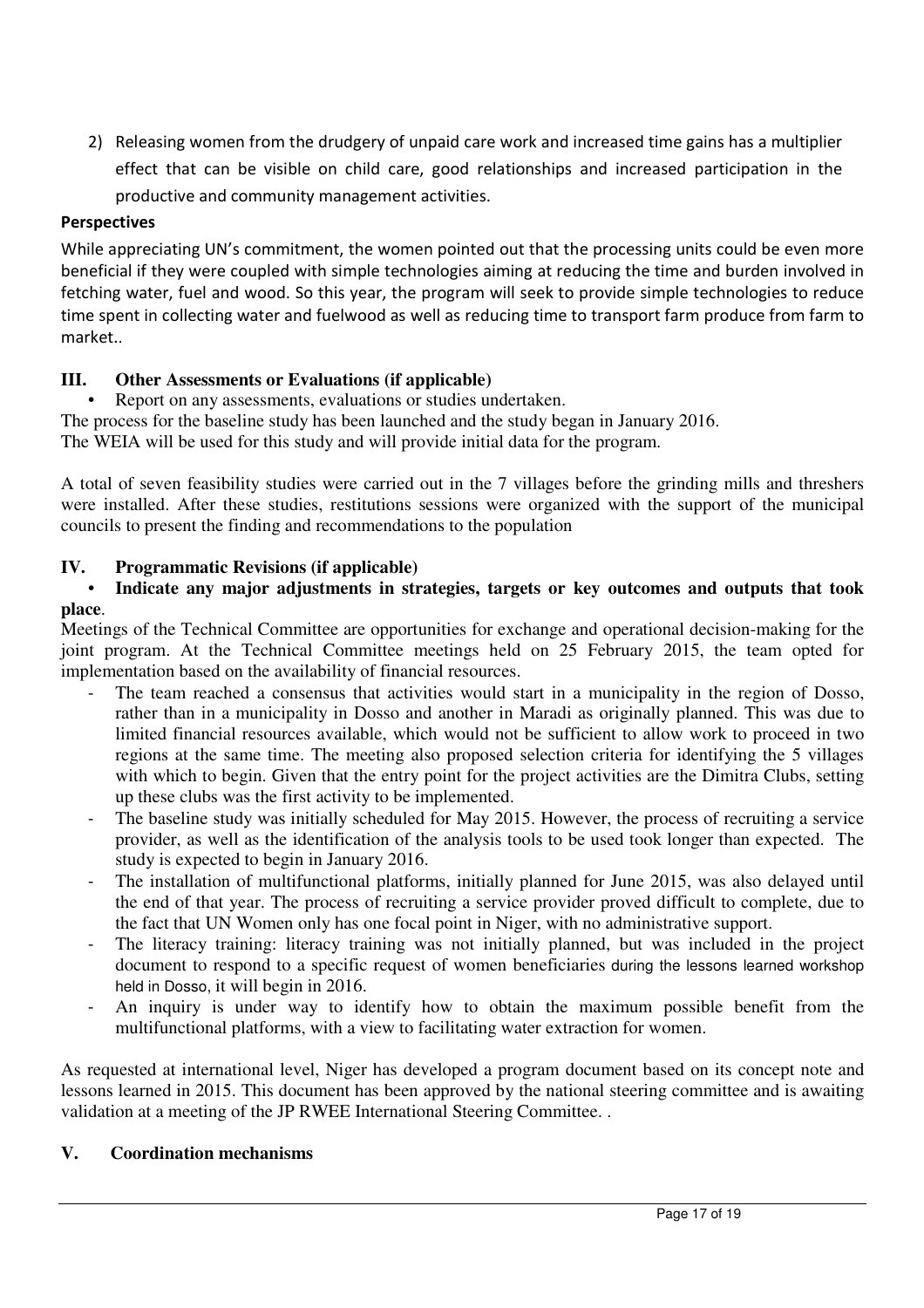2) Releasing women from the drudgery of unpaid care work and increased time gains has a multiplier effect that can be visible on child care, good relationships and increased participation in the productive and community management activities.

# **Perspectives**

While appreciating UN's commitment, the women pointed out that the processing units could be even more beneficial if they were coupled with simple technologies aiming at reducing the time and burden involved in fetching water, fuel and wood. So this year, the program will seek to provide simple technologies to reduce time spent in collecting water and fuelwood as well as reducing time to transport farm produce from farm to market..

# **III. Other Assessments or Evaluations (if applicable)**

Report on any assessments, evaluations or studies undertaken. The process for the baseline study has been launched and the study began in January 2016. The WEIA will be used for this study and will provide initial data for the program.

A total of seven feasibility studies were carried out in the 7 villages before the grinding mills and threshers were installed. After these studies, restitutions sessions were organized with the support of the municipal councils to present the finding and recommendations to the population

# **IV. Programmatic Revisions (if applicable)**

# • **Indicate any major adjustments in strategies, targets or key outcomes and outputs that took place**.

Meetings of the Technical Committee are opportunities for exchange and operational decision-making for the joint program. At the Technical Committee meetings held on 25 February 2015, the team opted for implementation based on the availability of financial resources.

- The team reached a consensus that activities would start in a municipality in the region of Dosso, rather than in a municipality in Dosso and another in Maradi as originally planned. This was due to limited financial resources available, which would not be sufficient to allow work to proceed in two regions at the same time. The meeting also proposed selection criteria for identifying the 5 villages with which to begin. Given that the entry point for the project activities are the Dimitra Clubs, setting up these clubs was the first activity to be implemented.
- The baseline study was initially scheduled for May 2015. However, the process of recruiting a service provider, as well as the identification of the analysis tools to be used took longer than expected. The study is expected to begin in January 2016.
- The installation of multifunctional platforms, initially planned for June 2015, was also delayed until the end of that year. The process of recruiting a service provider proved difficult to complete, due to the fact that UN Women only has one focal point in Niger, with no administrative support.
- The literacy training: literacy training was not initially planned, but was included in the project document to respond to a specific request of women beneficiaries during the lessons learned workshop held in Dosso, it will begin in 2016.
- An inquiry is under way to identify how to obtain the maximum possible benefit from the multifunctional platforms, with a view to facilitating water extraction for women.

As requested at international level, Niger has developed a program document based on its concept note and lessons learned in 2015. This document has been approved by the national steering committee and is awaiting validation at a meeting of the JP RWEE International Steering Committee. .

# **V. Coordination mechanisms**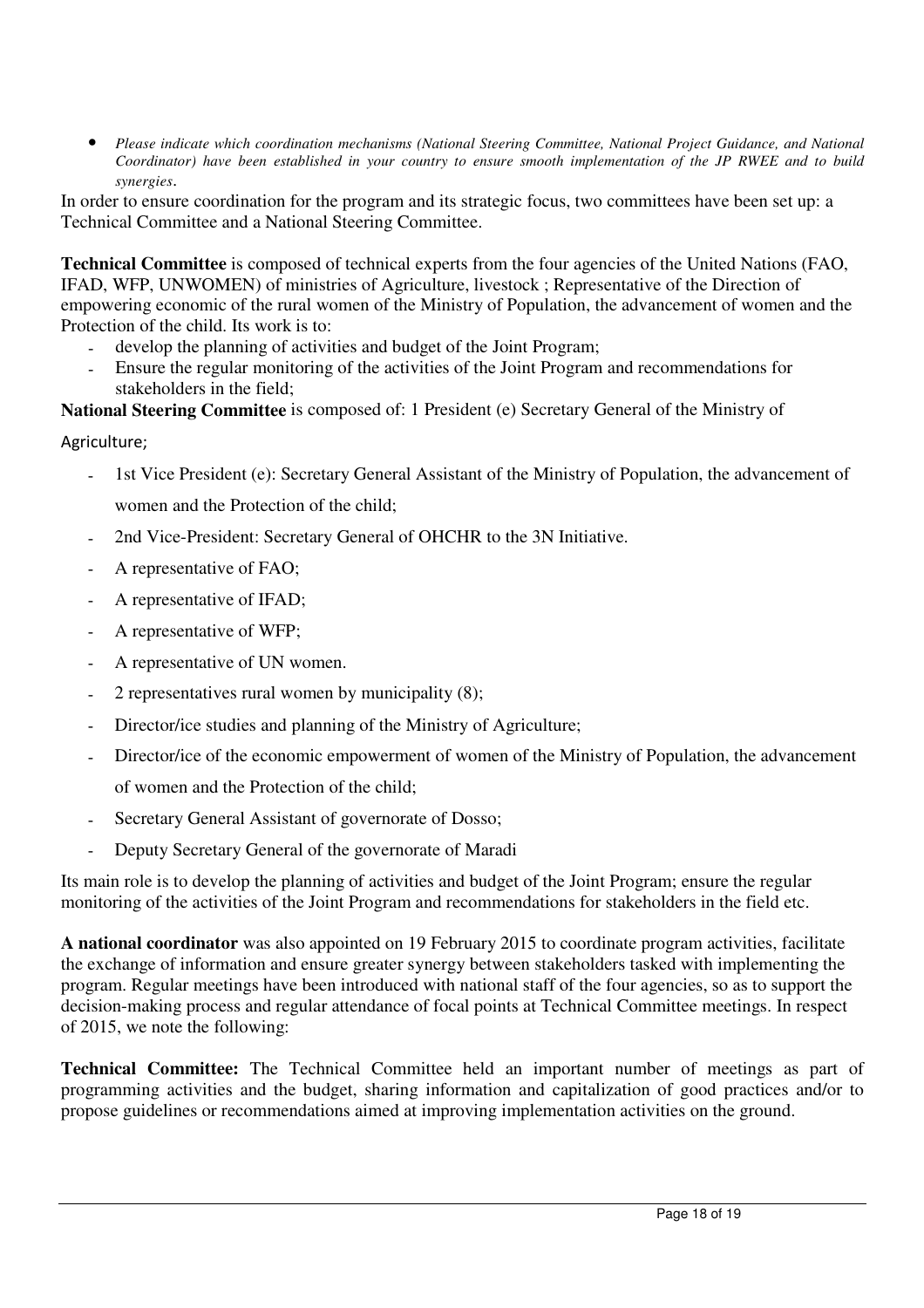• *Please indicate which coordination mechanisms (National Steering Committee, National Project Guidance, and National Coordinator) have been established in your country to ensure smooth implementation of the JP RWEE and to build synergies*.

In order to ensure coordination for the program and its strategic focus, two committees have been set up: a Technical Committee and a National Steering Committee.

**Technical Committee** is composed of technical experts from the four agencies of the United Nations (FAO, IFAD, WFP, UNWOMEN) of ministries of Agriculture, livestock ; Representative of the Direction of empowering economic of the rural women of the Ministry of Population, the advancement of women and the Protection of the child. Its work is to:

- develop the planning of activities and budget of the Joint Program;
- Ensure the regular monitoring of the activities of the Joint Program and recommendations for stakeholders in the field;

**National Steering Committee** is composed of: 1 President (e) Secretary General of the Ministry of

Agriculture;

- 1st Vice President (e): Secretary General Assistant of the Ministry of Population, the advancement of women and the Protection of the child;
- 2nd Vice-President: Secretary General of OHCHR to the 3N Initiative.
- A representative of FAO;
- A representative of IFAD;
- A representative of WFP;
- A representative of UN women.
- 2 representatives rural women by municipality (8);
- Director/ice studies and planning of the Ministry of Agriculture;
- Director/ice of the economic empowerment of women of the Ministry of Population, the advancement

of women and the Protection of the child;

- Secretary General Assistant of governorate of Dosso;
- Deputy Secretary General of the governorate of Maradi

Its main role is to develop the planning of activities and budget of the Joint Program; ensure the regular monitoring of the activities of the Joint Program and recommendations for stakeholders in the field etc.

**A national coordinator** was also appointed on 19 February 2015 to coordinate program activities, facilitate the exchange of information and ensure greater synergy between stakeholders tasked with implementing the program. Regular meetings have been introduced with national staff of the four agencies, so as to support the decision-making process and regular attendance of focal points at Technical Committee meetings. In respect of 2015, we note the following:

**Technical Committee:** The Technical Committee held an important number of meetings as part of programming activities and the budget, sharing information and capitalization of good practices and/or to propose guidelines or recommendations aimed at improving implementation activities on the ground.